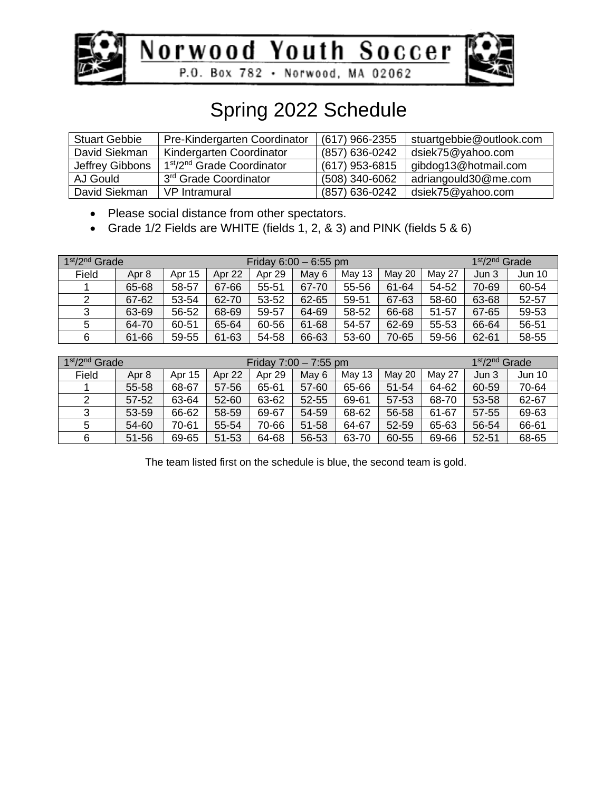



### Spring 2022 Schedule

| <b>Stuart Gebbie</b> | Pre-Kindergarten Coordinator                       | (617) 966-2355   | stuartgebbie@outlook.com |
|----------------------|----------------------------------------------------|------------------|--------------------------|
| David Siekman        | Kindergarten Coordinator                           | (857) 636-0242   | dsiek75@yahoo.com        |
| Jeffrey Gibbons      | 1 <sup>st</sup> /2 <sup>nd</sup> Grade Coordinator | (617) 953-6815   | gibdog13@hotmail.com     |
| AJ Gould             | 3rd Grade Coordinator                              | $(508)$ 340-6062 | adriangould30@me.com     |
| David Siekman        | VP Intramural                                      | (857) 636-0242   | dsiek75@yahoo.com        |

• Please social distance from other spectators.

• Grade 1/2 Fields are WHITE (fields 1, 2, & 3) and PINK (fields 5 & 6)

| $1st/2nd$ Grade |       |        |        |        | Friday $6:00 - 6:55$ pm |        |        |        | 1 <sup>st</sup> /2 <sup>nd</sup> Grade |               |
|-----------------|-------|--------|--------|--------|-------------------------|--------|--------|--------|----------------------------------------|---------------|
| Field           | Apr 8 | Apr 15 | Apr 22 | Apr 29 | May 6                   | May 13 | May 20 | May 27 | Jun 3                                  | <b>Jun 10</b> |
|                 | 65-68 | 58-57  | 67-66  | 55-51  | 67-70                   | 55-56  | 61-64  | 54-52  | 70-69                                  | 60-54         |
| 2               | 67-62 | 53-54  | 62-70  | 53-52  | 62-65                   | 59-51  | 67-63  | 58-60  | 63-68                                  | 52-57         |
| 3               | 63-69 | 56-52  | 68-69  | 59-57  | 64-69                   | 58-52  | 66-68  | 51-57  | 67-65                                  | 59-53         |
| 5               | 64-70 | 60-51  | 65-64  | 60-56  | 61-68                   | 54-57  | 62-69  | 55-53  | 66-64                                  | 56-51         |
| 6               | 61-66 | 59-55  | 61-63  | 54-58  | 66-63                   | 53-60  | 70-65  | 59-56  | 62-61                                  | 58-55         |

| 1 <sup>st</sup> /2 <sup>nd</sup> Grade |           |        |           | Friday $7:00 - 7:55$ pm |           | 1 <sup>st</sup> /2 <sup>nd</sup> Grade |           |        |           |               |
|----------------------------------------|-----------|--------|-----------|-------------------------|-----------|----------------------------------------|-----------|--------|-----------|---------------|
| Field                                  | Apr 8     | Apr 15 | Apr 22    | Apr 29                  | May 6     | May 13                                 | May 20    | May 27 | Jun 3     | <b>Jun 10</b> |
|                                        | 55-58     | 68-67  | 57-56     | 65-61                   | 57-60     | 65-66                                  | $51 - 54$ | 64-62  | 60-59     | 70-64         |
| 2                                      | 57-52     | 63-64  | $52 - 60$ | 63-62                   | $52 - 55$ | 69-61                                  | 57-53     | 68-70  | 53-58     | 62-67         |
| 3                                      | 53-59     | 66-62  | 58-59     | 69-67                   | 54-59     | 68-62                                  | 56-58     | 61-67  | 57-55     | 69-63         |
| 5                                      | 54-60     | 70-61  | 55-54     | 70-66                   | 51-58     | 64-67                                  | 52-59     | 65-63  | 56-54     | 66-61         |
| 6                                      | $51 - 56$ | 69-65  | 51-53     | 64-68                   | 56-53     | 63-70                                  | 60-55     | 69-66  | $52 - 51$ | 68-65         |

The team listed first on the schedule is blue, the second team is gold.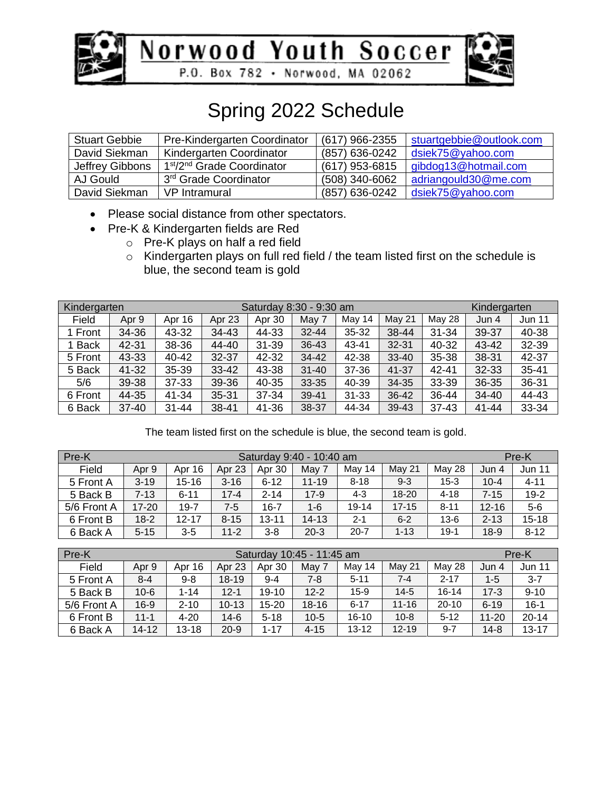



### Spring 2022 Schedule

| <b>Stuart Gebbie</b> | Pre-Kindergarten Coordinator                       | (617) 966-2355 | stuartgebbie@outlook.com |
|----------------------|----------------------------------------------------|----------------|--------------------------|
| David Siekman        | Kindergarten Coordinator                           | (857) 636-0242 | dsiek75@yahoo.com        |
| Jeffrey Gibbons      | 1 <sup>st</sup> /2 <sup>nd</sup> Grade Coordinator | (617) 953-6815 | gibdog13@hotmail.com     |
| AJ Gould             | 3 <sup>rd</sup> Grade Coordinator                  | (508) 340-6062 | adriangould30@me.com     |
| David Siekman        | VP Intramural                                      | (857) 636-0242 | dsiek75@yahoo.com        |

- Please social distance from other spectators.
- Pre-K & Kindergarten fields are Red
	- o Pre-K plays on half a red field
		- o Kindergarten plays on full red field / the team listed first on the schedule is blue, the second team is gold

| Kindergarten |           |           |           | Saturday 8:30 - 9:30 am |           |           | Kindergarten |           |           |           |
|--------------|-----------|-----------|-----------|-------------------------|-----------|-----------|--------------|-----------|-----------|-----------|
| Field        | Apr 9     | Apr 16    | Apr 23    | Apr 30                  | May 7     | May 14    | May 21       | May 28    | Jun 4     | Jun 11    |
| 1 Front      | 34-36     | 43-32     | 34-43     | 44-33                   | $32 - 44$ | 35-32     | 38-44        | $31 - 34$ | 39-37     | 40-38     |
| <b>Back</b>  | 42-31     | 38-36     | 44-40     | $31 - 39$               | 36-43     | 43-41     | $32 - 31$    | 40-32     | 43-42     | 32-39     |
| 5 Front      | 43-33     | 40-42     | 32-37     | 42-32                   | 34-42     | 42-38     | $33 - 40$    | 35-38     | 38-31     | 42-37     |
| 5 Back       | 41-32     | 35-39     | $33 - 42$ | 43-38                   | $31 - 40$ | 37-36     | 41-37        | $42 - 41$ | 32-33     | $35 - 41$ |
| 5/6          | 39-38     | 37-33     | 39-36     | 40-35                   | 33-35     | 40-39     | 34-35        | 33-39     | 36-35     | 36-31     |
| 6 Front      | 44-35     | 41-34     | 35-31     | 37-34                   | 39-41     | $31 - 33$ | 36-42        | 36-44     | $34 - 40$ | 44-43     |
| 6 Back       | $37 - 40$ | $31 - 44$ | 38-41     | 41-36                   | 38-37     | 44-34     | 39-43        | $37 - 43$ | $41 - 44$ | 33-34     |

The team listed first on the schedule is blue, the second team is gold.

| Pre-K       |           | Saturday 9:40 - 10:40 am |                   |           |           |           |           |          |           |               |
|-------------|-----------|--------------------------|-------------------|-----------|-----------|-----------|-----------|----------|-----------|---------------|
| Field       | Apr 9     | Apr 16                   | Apr <sub>23</sub> | Apr 30    | May 7     | May 14    | May 21    | May 28   | Jun 4     | <b>Jun 11</b> |
| 5 Front A   | $3 - 19$  | $15 - 16$                | $3 - 16$          | $6 - 12$  | $11 - 19$ | $8 - 18$  | $9 - 3$   | $15 - 3$ | $10 - 4$  | $4 - 11$      |
| 5 Back B    | $7 - 13$  | $6 - 11$                 | $17 - 4$          | $2 - 14$  | $17-9$    | 4-3       | $18 - 20$ | $4 - 18$ | $7 - 15$  | $19 - 2$      |
| 5/6 Front A | $17 - 20$ | $19 - 7$                 | $7-5$             | $16 - 7$  | $1 - 6$   | $19 - 14$ | $17 - 15$ | $8 - 11$ | $12 - 16$ | $5-6$         |
| 6 Front B   | $18-2$    | $12 - 17$                | $8 - 15$          | $13 - 11$ | $14 - 13$ | $2 - 1$   | $6 - 2$   | $13 - 6$ | $2 - 13$  | $15 - 18$     |
| 6 Back A    | $5 - 15$  | $3 - 5$                  | $11 - 2$          | $3 - 8$   | $20-3$    | $20 - 7$  | $1 - 13$  | $19-1$   | $18-9$    | $8 - 12$      |

| Pre-K       |           | Saturday 10:45 - 11:45 am<br>Pre-K |           |           |           |           |           |           |           |               |
|-------------|-----------|------------------------------------|-----------|-----------|-----------|-----------|-----------|-----------|-----------|---------------|
| Field       | Apr 9     | Apr 16                             | Apr 23    | Apr 30    | May 7     | May 14    | May 21    | May 28    | Jun 4     | <b>Jun 11</b> |
| 5 Front A   | $8 - 4$   | $9 - 8$                            | 18-19     | $9 - 4$   | $7-8$     | $5 - 11$  | 7-4       | $2 - 17$  | $1 - 5$   | $3 - 7$       |
| 5 Back B    | $10 - 6$  | $1 - 14$                           | $12 - 1$  | $19 - 10$ | $12 - 2$  | $15 - 9$  | $14-5$    | $16 - 14$ | $17-3$    | $9 - 10$      |
| 5/6 Front A | $16-9$    | $2 - 10$                           | $10 - 13$ | $15 - 20$ | $18 - 16$ | $6 - 17$  | $11 - 16$ | $20 - 10$ | $6 - 19$  | $16 - 1$      |
| 6 Front B   | $11 - 1$  | $4 - 20$                           | $14-6$    | $5 - 18$  | $10-5$    | $16 - 10$ | $10 - 8$  | $5 - 12$  | $11 - 20$ | $20 - 14$     |
| 6 Back A    | $14 - 12$ | $13 - 18$                          | $20 - 9$  | 1-17      | $4 - 15$  | $13 - 12$ | $12 - 19$ | $9 - 7$   | $14 - 8$  | $13 - 17$     |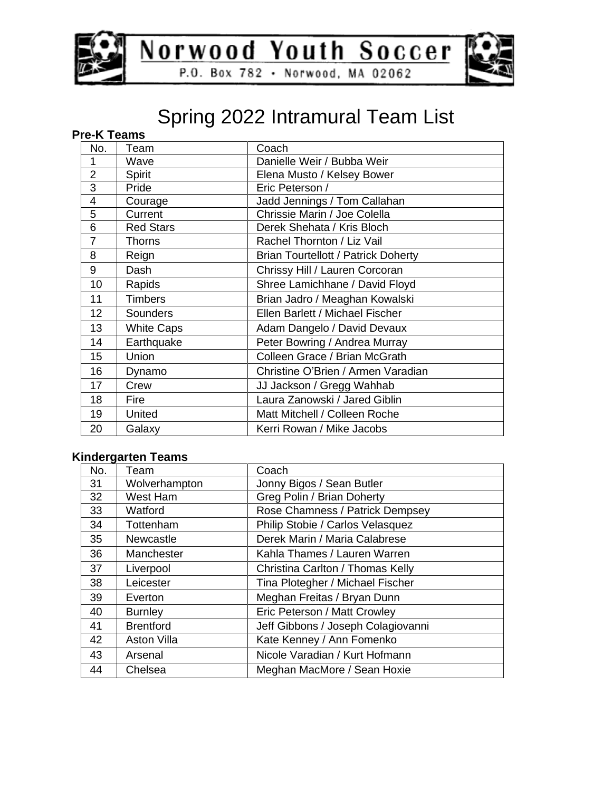



### Spring 2022 Intramural Team List

### **Pre-K Teams**

| No.             | Team              | Coach                                      |
|-----------------|-------------------|--------------------------------------------|
| 1               | Wave              | Danielle Weir / Bubba Weir                 |
| $\overline{2}$  | Spirit            | Elena Musto / Kelsey Bower                 |
| 3               | Pride             | Eric Peterson /                            |
| 4               | Courage           | Jadd Jennings / Tom Callahan               |
| 5               | Current           | Chrissie Marin / Joe Colella               |
| 6               | <b>Red Stars</b>  | Derek Shehata / Kris Bloch                 |
| $\overline{7}$  | Thorns            | Rachel Thornton / Liz Vail                 |
| 8               | Reign             | <b>Brian Tourtellott / Patrick Doherty</b> |
| 9               | Dash              | Chrissy Hill / Lauren Corcoran             |
| 10              | Rapids            | Shree Lamichhane / David Floyd             |
| 11              | <b>Timbers</b>    | Brian Jadro / Meaghan Kowalski             |
| 12 <sub>2</sub> | Sounders          | Ellen Barlett / Michael Fischer            |
| 13              | <b>White Caps</b> | Adam Dangelo / David Devaux                |
| 14              | Earthquake        | Peter Bowring / Andrea Murray              |
| 15              | <b>Union</b>      | Colleen Grace / Brian McGrath              |
| 16              | Dynamo            | Christine O'Brien / Armen Varadian         |
| 17              | Crew              | JJ Jackson / Gregg Wahhab                  |
| 18              | Fire              | Laura Zanowski / Jared Giblin              |
| 19              | United            | Matt Mitchell / Colleen Roche              |
| 20              | Galaxy            | Kerri Rowan / Mike Jacobs                  |

#### **Kindergarten Teams**

| No. | Team               | Coach                              |
|-----|--------------------|------------------------------------|
| 31  | Wolverhampton      | Jonny Bigos / Sean Butler          |
| 32  | West Ham           | Greg Polin / Brian Doherty         |
| 33  | Watford            | Rose Chamness / Patrick Dempsey    |
| 34  | Tottenham          | Philip Stobie / Carlos Velasquez   |
| 35  | Newcastle          | Derek Marin / Maria Calabrese      |
| 36  | Manchester         | Kahla Thames / Lauren Warren       |
| 37  | Liverpool          | Christina Carlton / Thomas Kelly   |
| 38  | Leicester          | Tina Plotegher / Michael Fischer   |
| 39  | Everton            | Meghan Freitas / Bryan Dunn        |
| 40  | <b>Burnley</b>     | Eric Peterson / Matt Crowley       |
| 41  | <b>Brentford</b>   | Jeff Gibbons / Joseph Colagiovanni |
| 42  | <b>Aston Villa</b> | Kate Kenney / Ann Fomenko          |
| 43  | Arsenal            | Nicole Varadian / Kurt Hofmann     |
| 44  | Chelsea            | Meghan MacMore / Sean Hoxie        |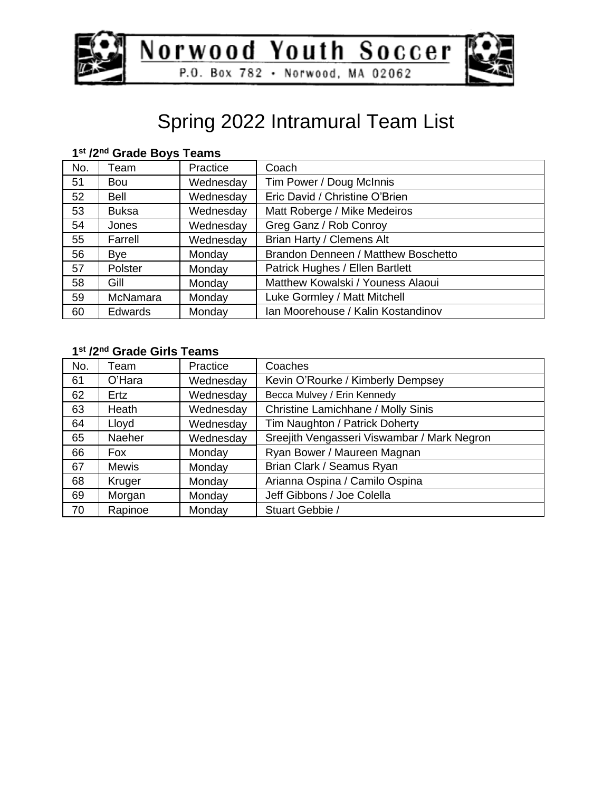



## Spring 2022 Intramural Team List

| No. | Team           | Practice  | Coach                               |
|-----|----------------|-----------|-------------------------------------|
| 51  | <b>Bou</b>     | Wednesday | Tim Power / Doug McInnis            |
| 52  | <b>Bell</b>    | Wednesday | Eric David / Christine O'Brien      |
| 53  | <b>Buksa</b>   | Wednesday | Matt Roberge / Mike Medeiros        |
| 54  | Jones          | Wednesday | Greg Ganz / Rob Conroy              |
| 55  | Farrell        | Wednesday | Brian Harty / Clemens Alt           |
| 56  | Bye            | Monday    | Brandon Denneen / Matthew Boschetto |
| 57  | Polster        | Monday    | Patrick Hughes / Ellen Bartlett     |
| 58  | Gill           | Monday    | Matthew Kowalski / Youness Alaoui   |
| 59  | McNamara       | Monday    | Luke Gormley / Matt Mitchell        |
| 60  | <b>Edwards</b> | Monday    | Ian Moorehouse / Kalin Kostandinov  |

#### **st /2nd Grade Boys Teams**

#### **st /2nd Grade Girls Teams**

| No. | Team    | Practice  | Coaches                                     |
|-----|---------|-----------|---------------------------------------------|
| 61  | O'Hara  | Wednesday | Kevin O'Rourke / Kimberly Dempsey           |
| 62  | Ertz    | Wednesday | Becca Mulvey / Erin Kennedy                 |
| 63  | Heath   | Wednesday | Christine Lamichhane / Molly Sinis          |
| 64  | Lloyd   | Wednesday | Tim Naughton / Patrick Doherty              |
| 65  | Naeher  | Wednesday | Sreejith Vengasseri Viswambar / Mark Negron |
| 66  | Fox     | Monday    | Ryan Bower / Maureen Magnan                 |
| 67  | Mewis   | Monday    | Brian Clark / Seamus Ryan                   |
| 68  | Kruger  | Monday    | Arianna Ospina / Camilo Ospina              |
| 69  | Morgan  | Monday    | Jeff Gibbons / Joe Colella                  |
| 70  | Rapinoe | Monday    | Stuart Gebbie /                             |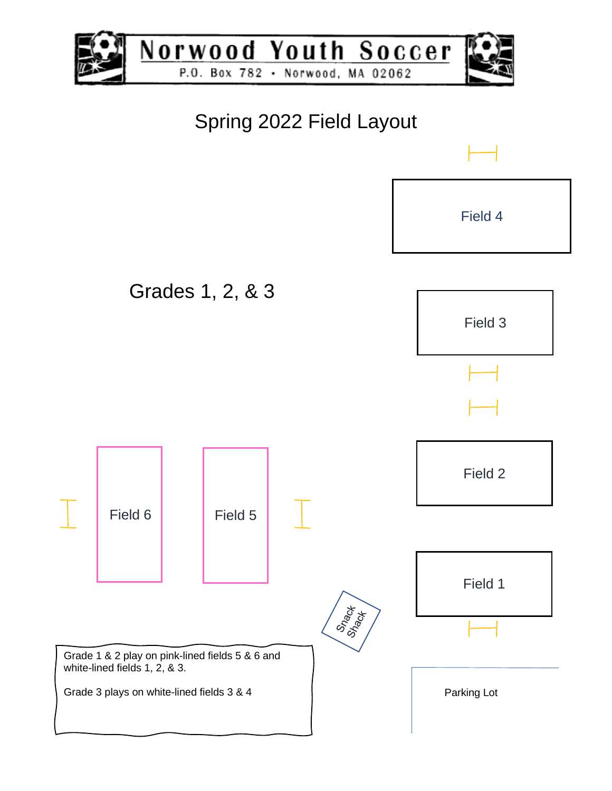

Norwood Youth Soccer P.O. Box 782 · Norwood, MA 02062



## Spring 2022 Field Layout